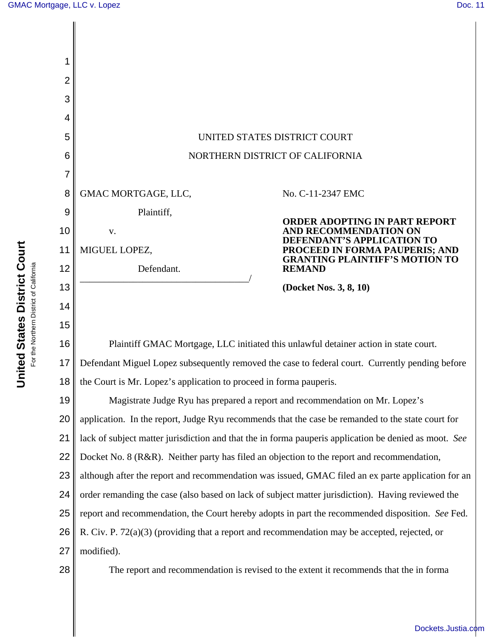| 1              |                                                                                                       |                                                                                                                                                                               |
|----------------|-------------------------------------------------------------------------------------------------------|-------------------------------------------------------------------------------------------------------------------------------------------------------------------------------|
| $\overline{2}$ |                                                                                                       |                                                                                                                                                                               |
| 3              |                                                                                                       |                                                                                                                                                                               |
| 4              |                                                                                                       |                                                                                                                                                                               |
| 5              | UNITED STATES DISTRICT COURT                                                                          |                                                                                                                                                                               |
| 6              | NORTHERN DISTRICT OF CALIFORNIA                                                                       |                                                                                                                                                                               |
| 7              |                                                                                                       |                                                                                                                                                                               |
| 8              | GMAC MORTGAGE, LLC,                                                                                   | No. C-11-2347 EMC                                                                                                                                                             |
| 9              | Plaintiff,                                                                                            | <b>ORDER ADOPTING IN PART REPORT</b><br>AND RECOMMENDATION ON<br><b>DEFENDANT'S APPLICATION TO</b><br>PROCEED IN FORMA PAUPERIS; AND<br><b>GRANTING PLAINTIFF'S MOTION TO</b> |
| 10             | V.                                                                                                    |                                                                                                                                                                               |
| 11             | MIGUEL LOPEZ,                                                                                         |                                                                                                                                                                               |
| 12             | Defendant.                                                                                            | <b>REMAND</b>                                                                                                                                                                 |
| 13             |                                                                                                       | (Docket Nos. 3, 8, 10)                                                                                                                                                        |
| 14             |                                                                                                       |                                                                                                                                                                               |
| 15             |                                                                                                       |                                                                                                                                                                               |
| 16             | Plaintiff GMAC Mortgage, LLC initiated this unlawful detainer action in state court.                  |                                                                                                                                                                               |
| 17             | Defendant Miguel Lopez subsequently removed the case to federal court. Currently pending before       |                                                                                                                                                                               |
| 18             | the Court is Mr. Lopez's application to proceed in forma pauperis.                                    |                                                                                                                                                                               |
| 19             | Magistrate Judge Ryu has prepared a report and recommendation on Mr. Lopez's                          |                                                                                                                                                                               |
| 20             | application. In the report, Judge Ryu recommends that the case be remanded to the state court for     |                                                                                                                                                                               |
| 21             | lack of subject matter jurisdiction and that the in forma pauperis application be denied as moot. See |                                                                                                                                                                               |
| 22             | Docket No. 8 (R&R). Neither party has filed an objection to the report and recommendation,            |                                                                                                                                                                               |
| 23             | although after the report and recommendation was issued, GMAC filed an ex parte application for an    |                                                                                                                                                                               |
| 24             | order remanding the case (also based on lack of subject matter jurisdiction). Having reviewed the     |                                                                                                                                                                               |
| 25             | report and recommendation, the Court hereby adopts in part the recommended disposition. See Fed.      |                                                                                                                                                                               |
| 26             | R. Civ. P. $72(a)(3)$ (providing that a report and recommendation may be accepted, rejected, or       |                                                                                                                                                                               |
| 27             | modified).                                                                                            |                                                                                                                                                                               |
| 28             |                                                                                                       | The report and recommendation is revised to the extent it recommends that the in forma                                                                                        |

[Dockets.Justia.com](http://dockets.justia.com/)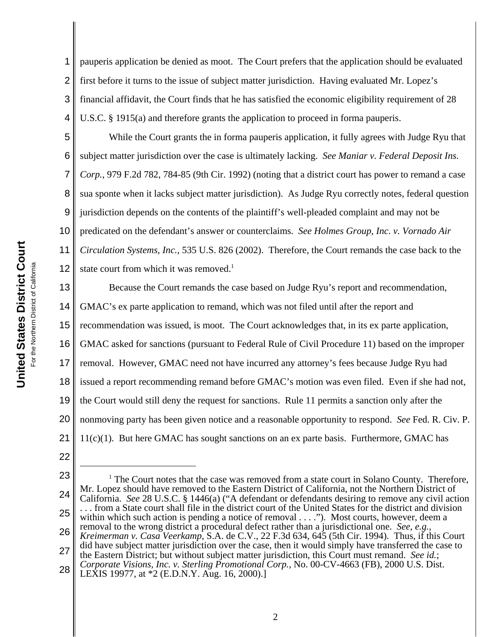1 2 3 4 pauperis application be denied as moot. The Court prefers that the application should be evaluated first before it turns to the issue of subject matter jurisdiction. Having evaluated Mr. Lopez's financial affidavit, the Court finds that he has satisfied the economic eligibility requirement of 28 U.S.C. § 1915(a) and therefore grants the application to proceed in forma pauperis.

5 6 7 8 9 10 11 12 While the Court grants the in forma pauperis application, it fully agrees with Judge Ryu that subject matter jurisdiction over the case is ultimately lacking. *See Maniar v. Federal Deposit Ins. Corp.*, 979 F.2d 782, 784-85 (9th Cir. 1992) (noting that a district court has power to remand a case sua sponte when it lacks subject matter jurisdiction). As Judge Ryu correctly notes, federal question jurisdiction depends on the contents of the plaintiff's well-pleaded complaint and may not be predicated on the defendant's answer or counterclaims. *See Holmes Group, Inc. v. Vornado Air Circulation Systems, Inc.*, 535 U.S. 826 (2002). Therefore, the Court remands the case back to the state court from which it was removed.<sup>1</sup>

13 14 15 16 17 18 19 20 21 Because the Court remands the case based on Judge Ryu's report and recommendation, GMAC's ex parte application to remand, which was not filed until after the report and recommendation was issued, is moot. The Court acknowledges that, in its ex parte application, GMAC asked for sanctions (pursuant to Federal Rule of Civil Procedure 11) based on the improper removal. However, GMAC need not have incurred any attorney's fees because Judge Ryu had issued a report recommending remand before GMAC's motion was even filed. Even if she had not, the Court would still deny the request for sanctions. Rule 11 permits a sanction only after the nonmoving party has been given notice and a reasonable opportunity to respond. *See* Fed. R. Civ. P. 11(c)(1). But here GMAC has sought sanctions on an ex parte basis. Furthermore, GMAC has

- 22
- 23 24 25 26 27 28 <sup>1</sup> The Court notes that the case was removed from a state court in Solano County. Therefore, Mr. Lopez should have removed to the Eastern District of California, not the Northern District of California. *See* 28 U.S.C. § 1446(a) ("A defendant or defendants desiring to remove any civil action . . . from a State court shall file in the district court of the United States for the district and division within which such action is pending a notice of removal  $\dots$ "). Most courts, however, deem a removal to the wrong district a procedural defect rather than a jurisdictional one. *See, e.g.*, Kreimerman v. Casa Veerkamp, S.A. de C.V., 22 F.3d 634, 645 (5th Cir. 1994). Thus, if this Court did have subject matter jurisdiction over the case, then it would simply have transferred the case to the Eastern District; but without subject matter jurisdiction, this Court must remand. *See id.*; *Corporate Visions, Inc. v. Sterling Promotional Corp.*, No. 00-CV-4663 (FB), 2000 U.S. Dist. LEXIS 19977, at \*2 (E.D.N.Y. Aug. 16, 2000).]

2